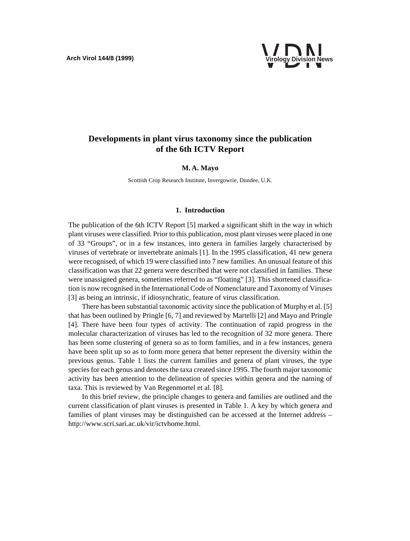

# **Developments in plant virus taxonomy since the publication of the 6th ICTV Report**

**M. A. Mayo**

Scottish Crop Research Institute, Invergowrie, Dundee, U.K.

## **1. Introduction**

The publication of the 6th ICTV Report [5] marked a significant shift in the way in which plant viruses were classified. Prior to this publication, most plant viruses were placed in one of 33 "Groups", or in a few instances, into genera in families largely characterised by viruses of vertebrate or invertebrate animals [1]. In the 1995 classification, 41 new genera were recognised, of which 19 were classified into 7 new families. An unusual feature of this classification was that 22 genera were described that were not classified in families. These were unassigned genera, sometimes referred to as "floating" [3]. This shortened classification is now recognised in the International Code of Nomenclature and Taxonomy of Viruses [3] as being an intrinsic, if idiosynchratic, feature of virus classification.

There has been substantial taxonomic activity since the publication of Murphy et al. [5] that has been outlined by Pringle [6, 7] and reviewed by Martelli [2] and Mayo and Pringle [4]. There have been four types of activity. The continuation of rapid progress in the molecular characterization of viruses has led to the recognition of 32 more genera. There has been some clustering of genera so as to form families, and in a few instances, genera have been split up so as to form more genera that better represent the diversity within the previous genus. Table 1 lists the current families and genera of plant viruses, the type species for each genus and denotes the taxa created since 1995. The fourth major taxonomic activity has been attention to the delineation of species within genera and the naming of taxa. This is reviewed by Van Regenmortel et al. [8].

In this brief review, the principle changes to genera and families are outlined and the current classification of plant viruses is presented in Table 1. A key by which genera and families of plant viruses may be distinguished can be accessed at the Internet address – http://www.scri.sari.ac.uk/vir/ictvhome.html.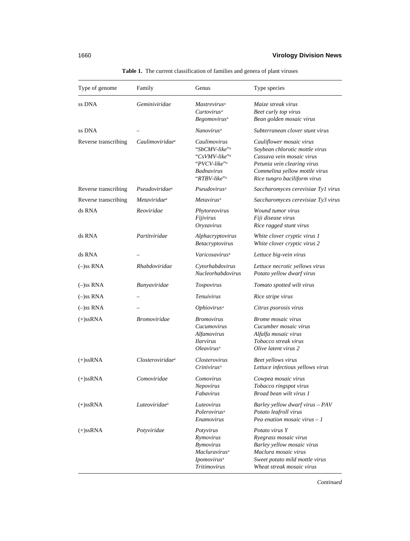| Type of genome       | Family                         | Genus                            | Type species                       |
|----------------------|--------------------------------|----------------------------------|------------------------------------|
| ss DNA               | Geminiviridae                  | <i>Mastrevirus<sup>a</sup></i>   | Maize streak virus                 |
|                      |                                | Curtovirus <sup>a</sup>          | Beet curly top virus               |
|                      |                                | <b>Begomovirus</b> <sup>a</sup>  | Bean golden mosaic virus           |
| ss DNA               |                                | <b>Nanovirus</b> <sup>a</sup>    | Subterranean clover stunt virus    |
| Reverse transcribing | Caulimoviridae <sup>a</sup>    | Caulimovirus                     | Cauliflower mosaic virus           |
|                      |                                | "SbCMV-like" <sup>a</sup>        | Soybean chlorotic mottle virus     |
|                      |                                | "CsVMV-like"ª                    | Cassava vein mosaic virus          |
|                      |                                | "PVCV-like" <sup>a</sup>         | Petunia vein clearing virus        |
|                      |                                | Badnavirus                       | Commelina yellow mottle virus      |
|                      |                                | "RTBV-like" <sup>a</sup>         | Rice tungro baciliform virus       |
| Reverse transcribing | Pseudoviridae <sup>a</sup>     | Pseudovirus <sup>a</sup>         | Saccharomyces cerevisiae Tyl virus |
| Reverse transcribing | <i>Metaviridae<sup>a</sup></i> | Metavirus <sup>a</sup>           | Saccharomyces cerevisiae Ty3 virus |
| ds RNA               | Reoviridae                     | Phytoreovirus                    | Wound tumor virus                  |
|                      |                                | Fijivirus                        | Fiji disease virus                 |
|                      |                                | Oryzavirus                       | Rice ragged stunt virus            |
| ds RNA               | Partitviridae                  | Alphacryptovirus                 | White clover cryptic virus 1       |
|                      |                                | Betacryptovirus                  | White clover cryptic virus 2       |
| ds RNA               |                                | Varicosavirus <sup>a</sup>       | Lettuce big-vein virus             |
| $(-)$ ss RNA         | Rhabdoviridae                  | Cytorhabdovirus                  | Lettuce necrotic yellows virus     |
|                      |                                | Nucleorhabdovirus                | Potato yellow dwarf virus          |
| $(-)$ ss RNA         | Bunyaviridae                   | <i>Tospovirus</i>                | Tomato spotted wilt virus          |
| $(-)$ ss RNA         |                                | Tenuivirus                       | Rice stripe virus                  |
| $(-)$ ss RNA         |                                | <i>Ophiovirus<sup>a</sup></i>    | Citrus psorosis virus              |
| $(+)$ ss $RNA$       | <b>Bromoviridae</b>            | <b>Bromovirus</b>                | Brome mosaic virus                 |
|                      |                                | Cucumovirus                      | Cucumber mosaic virus              |
|                      |                                | Alfamovirus                      | Alfalfa mosaic virus               |
|                      |                                | <i>Ilarvirus</i>                 | Tobacco streak virus               |
|                      |                                | Oleavirus <sup>a</sup>           | Olive latent virus 2               |
| $(+)$ ss $RNA$       | Closteroviridae <sup>a</sup>   | Closterovirus                    | Beet yellows virus                 |
|                      |                                | Crinivirus <sup>a</sup>          | Lettuce infectious yellows virus   |
| $(+)$ ss $RNA$       | Comoviridae                    | Comovirus                        | Cowpea mosaic virus                |
|                      |                                | Nepovirus                        | Tobacco ringspot virus             |
|                      |                                | Fabavirus                        | Broad bean wilt virus 1            |
| $(+)$ ss $RNA$       | Luteoviridae <sup>a</sup>      | Luteovirus                       | Barley yellow dwarf virus - PAV    |
|                      |                                | Polerovirus <sup>a</sup>         | Potato leafroll virus              |
|                      |                                | Enamovirus                       | Pea enation mosaic virus $-1$      |
| $(+)$ ss $RNA$       | Potyviridae                    | Potyvirus                        | Potato virus Y                     |
|                      |                                | Rymovirus                        | Ryegrass mosaic virus              |
|                      |                                | <b>Bymovirus</b>                 | Barley yellow mosaic virus         |
|                      |                                | <b>Macluravirus</b> <sup>a</sup> | Maclura mosaic virus               |
|                      |                                | <i>Ipomovirus<sup>a</sup></i>    | Sweet potato mild mottle virus     |
|                      |                                | Tritimovirus                     | Wheat streak mosaic virus          |

**Table 1.** The current classification of families and genera of plant viruses

*Continued*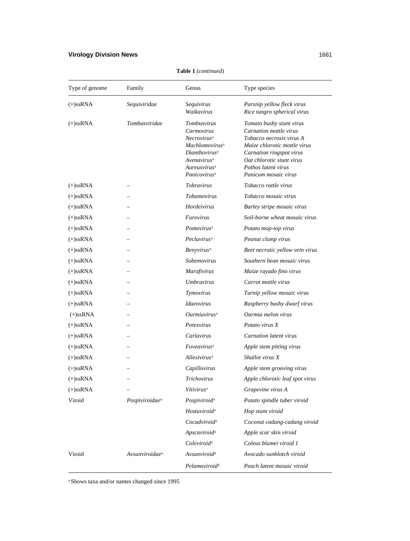| Type of genome | Family                     | Genus                                                                                                                                                                                                    | Type species                                                                                                                                                                                                           |
|----------------|----------------------------|----------------------------------------------------------------------------------------------------------------------------------------------------------------------------------------------------------|------------------------------------------------------------------------------------------------------------------------------------------------------------------------------------------------------------------------|
| $(+)$ ss $RNA$ | Sequiviridae               | Sequivirus<br>Waikavirus                                                                                                                                                                                 | Parsnip yellow fleck virus<br>Rice tungro spherical virus                                                                                                                                                              |
| $(+)$ ss $RNA$ | Tombusviridae              | Tombusvirus<br>Carmovirus<br>Necrovirus <sup>a</sup><br><i>Machlomovirus<sup>a</sup></i><br>Dianthovirus <sup>a</sup><br>Avenavirus <sup>a</sup><br>Aureusvirus <sup>a</sup><br>Panicovirus <sup>a</sup> | Tomato bushy stunt virus<br>Carnation mottle virus<br>Tobacco necrosis virus A<br>Maize chlorotic mottle virus<br>Carnation ringspot virus<br>Oat chlorotic stunt virus<br>Pothos latent virus<br>Panicum mosaic virus |
| $(+)$ ss $RNA$ |                            | Tobravirus                                                                                                                                                                                               | Tobacco rattle virus                                                                                                                                                                                                   |
| $(+)$ ss $RNA$ |                            | <b>Tobamovirus</b>                                                                                                                                                                                       | Tobacco mosaic virus                                                                                                                                                                                                   |
| $(+)$ ssRNA    |                            | Hordeivirus                                                                                                                                                                                              | Barley stripe mosaic virus                                                                                                                                                                                             |
| $(+)$ ss $RNA$ |                            | Furovirus                                                                                                                                                                                                | Soil-borne wheat mosaic virus                                                                                                                                                                                          |
| $(+)$ ss $RNA$ |                            | Pomovirus <sup>a</sup>                                                                                                                                                                                   | Potato mop-top virus                                                                                                                                                                                                   |
| $(+)$ ss $RNA$ |                            | Pecluvirus <sup>a</sup>                                                                                                                                                                                  | Peanut clump virus                                                                                                                                                                                                     |
| $(+)$ ss $RNA$ |                            | Benyvirus <sup>a</sup>                                                                                                                                                                                   | Beet necrotic yellow vein virus                                                                                                                                                                                        |
| $(+)$ ssRNA    |                            | Sobemovirus                                                                                                                                                                                              | Southern bean mosaic virus                                                                                                                                                                                             |
| $(+)$ ss $RNA$ |                            | <b>Marafivirus</b>                                                                                                                                                                                       | Maize rayado fino virus                                                                                                                                                                                                |
| $(+)$ ssRNA    |                            | <b>Umbravirus</b>                                                                                                                                                                                        | Carrot mottle virus                                                                                                                                                                                                    |
| $(+)$ ss $RNA$ |                            | Tymovirus                                                                                                                                                                                                | Turnip yellow mosaic virus                                                                                                                                                                                             |
| $(+)$ ss $RNA$ |                            | <b>Idaeovirus</b>                                                                                                                                                                                        | Raspberry bushy dwarf virus                                                                                                                                                                                            |
| $(+)$ ss $RNA$ |                            | <i>Ourmiavirus<sup>a</sup></i>                                                                                                                                                                           | Ourmia melon virus                                                                                                                                                                                                     |
| $(+)$ ss $RNA$ |                            | Potexvirus                                                                                                                                                                                               | Potato virus X                                                                                                                                                                                                         |
| $(+)$ ss $RNA$ |                            | Carlavirus                                                                                                                                                                                               | Carnation latent virus                                                                                                                                                                                                 |
| $(+)$ ss $RNA$ |                            | <i>Foveavirus<sup>a</sup></i>                                                                                                                                                                            | Apple stem pitting virus                                                                                                                                                                                               |
| $(+)$ ss $RNA$ |                            | <i>Allexivirus<sup>a</sup></i>                                                                                                                                                                           | Shallot virus X                                                                                                                                                                                                        |
| $(+)$ ssRNA    |                            | Capillovirus                                                                                                                                                                                             | Apple stem grooving virus                                                                                                                                                                                              |
| $(+)$ ssRNA    |                            | Trichovirus                                                                                                                                                                                              | Apple chlorotic leaf spot virus                                                                                                                                                                                        |
| $(+)$ ssRNA    |                            | <b>Vitivirus</b> <sup>a</sup>                                                                                                                                                                            | Grapevine virus A                                                                                                                                                                                                      |
| Viroid         | Pospiviroidae <sup>a</sup> | Pospiviroid <sup>a</sup>                                                                                                                                                                                 | Potato spindle tuber viroid                                                                                                                                                                                            |
|                |                            | Hostuviroid <sup>a</sup>                                                                                                                                                                                 | Hop stunt viroid                                                                                                                                                                                                       |
|                |                            | Cocadviroid <sup>a</sup>                                                                                                                                                                                 | Coconut cadang-cadang viroid                                                                                                                                                                                           |
|                |                            | Apscaviroid <sup>a</sup>                                                                                                                                                                                 | Apple scar skin viroid                                                                                                                                                                                                 |
|                |                            | Cole viroid <sup>a</sup>                                                                                                                                                                                 | Coleus blumei viroid 1                                                                                                                                                                                                 |
| Viroid         | Avsunviroidae <sup>a</sup> | Avsunviroid <sup>a</sup>                                                                                                                                                                                 | Avocado sunblotch viroid                                                                                                                                                                                               |
|                |                            | Pelamoviroid <sup>a</sup>                                                                                                                                                                                | Peach latent mosaic viroid                                                                                                                                                                                             |

**Table 1** (*continued*)

a Shows taxa and/or names changed since 1995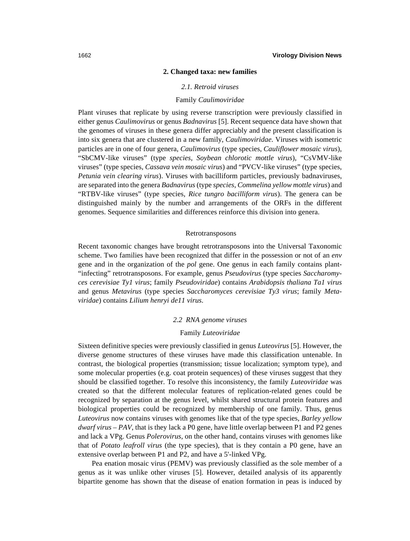#### **2. Changed taxa: new families**

#### *2.1. Retroid viruses*

### Family *Caulimoviridae*

Plant viruses that replicate by using reverse transcription were previously classified in either genus *Caulimovirus* or genus *Badnavirus* [5]. Recent sequence data have shown that the genomes of viruses in these genera differ appreciably and the present classification is into six genera that are clustered in a new family, *Caulimoviridae*. Viruses with isometric particles are in one of four genera, *Caulimovirus* (type species, *Cauliflower mosaic virus*), "SbCMV-like viruses" (type *species, Soybean chlorotic mottle virus*), "CsVMV-like viruses" (type species, *Cassava vein mosaic virus*) and "PVCV-like viruses" (type species, *Petunia vein clearing virus*). Viruses with bacilliform particles, previously badnaviruses, are separated into the genera *Badnavirus* (type *species, Commelina yellow mottle virus*) and "RTBV-like viruses" (type species, *Rice tungro bacilliform virus*). The genera can be distinguished mainly by the number and arrangements of the ORFs in the different genomes. Sequence similarities and differences reinforce this division into genera.

#### Retrotransposons

Recent taxonomic changes have brought retrotransposons into the Universal Taxonomic scheme. Two families have been recognized that differ in the possession or not of an *env* gene and in the organization of the *pol* gene. One genus in each family contains plant- "infecting" retrotransposons. For example, genus *Pseudovirus* (type species *Saccharomyces cerevisiae Ty1 virus*; family *Pseudoviridae*) contains *Arabidopsis thaliana Ta1 virus* and genus *Metavirus* (type species *Saccharomyces cerevisiae Ty3 virus*; family *Metaviridae*) contains *Lilium henryi de11 virus*.

#### *2.2 RNA genome viruses*

#### Family *Luteoviridae*

Sixteen definitive species were previously classified in genus *Luteovirus* [5]. However, the diverse genome structures of these viruses have made this classification untenable. In contrast, the biological properties (transmission; tissue localization; symptom type), and some molecular properties (e.g. coat protein sequences) of these viruses suggest that they should be classified together. To resolve this inconsistency, the family *Luteoviridae* was created so that the different molecular features of replication-related genes could be recognized by separation at the genus level, whilst shared structural protein features and biological properties could be recognized by membership of one family. Thus, genus *Luteovirus* now contains viruses with genomes like that of the type species, *Barley yellow dwarf virus – PAV*, that is they lack a P0 gene, have little overlap between P1 and P2 genes and lack a VPg. Genus *Polerovirus*, on the other hand, contains viruses with genomes like that of *Potato leafroll virus* (the type species), that is they contain a P0 gene, have an extensive overlap between P1 and P2, and have a 5'-linked VPg.

Pea enation mosaic virus (PEMV) was previously classified as the sole member of a genus as it was unlike other viruses [5]. However, detailed analysis of its apparently bipartite genome has shown that the disease of enation formation in peas is induced by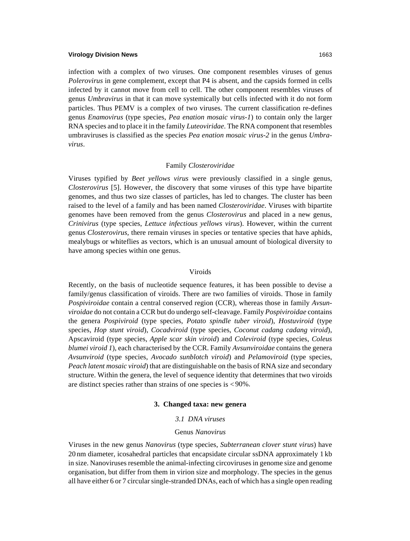infection with a complex of two viruses. One component resembles viruses of genus *Polerovirus* in gene complement, except that P4 is absent, and the capsids formed in cells infected by it cannot move from cell to cell. The other component resembles viruses of genus *Umbravirus* in that it can move systemically but cells infected with it do not form particles. Thus PEMV is a complex of two viruses. The current classification re-defines genus *Enamovirus* (type species, *Pea enation mosaic virus-1*) to contain only the larger RNA species and to place it in the family *Luteoviridae*. The RNA component that resembles umbraviruses is classified as the species *Pea enation mosaic virus-2* in the genus *Umbravirus*.

## Family *Closteroviridae*

Viruses typified by *Beet yellows virus* were previously classified in a single genus, *Closterovirus* [5]. However, the discovery that some viruses of this type have bipartite genomes, and thus two size classes of particles, has led to changes. The cluster has been raised to the level of a family and has been named *Closteroviridae*. Viruses with bipartite genomes have been removed from the genus *Closterovirus* and placed in a new genus, *Crinivirus* (type species, *Lettuce infectious yellows virus*). However, within the current genus *Closterovirus,* there remain viruses in species or tentative species that have aphids, mealybugs or whiteflies as vectors, which is an unusual amount of biological diversity to have among species within one genus.

## Viroids

Recently, on the basis of nucleotide sequence features, it has been possible to devise a family/genus classification of viroids. There are two families of viroids. Those in family *Pospiviroidae* contain a central conserved region (CCR), whereas those in family *Avsunviroidae* do not contain a CCR but do undergo self-cleavage. Family *Pospiviroidae* contains the genera *Pospiviroid* (type species, *Potato spindle tuber viroid*), *Hostuviroid* (type species, *Hop stunt viroid*), *Cocadviroid* (type species, *Coconut cadang cadang viroid*), Apscaviroid (type species, *Apple scar skin viroid*) and *Coleviroid* (type species, *Coleus blumei viroid 1*), each characterised by the CCR. Family *Avsunviroidae* contains the genera *Avsunviroid* (type species, *Avocado sunblotch viroid*) and *Pelamoviroid* (type species, *Peach latent mosaic viroid*) that are distinguishable on the basis of RNA size and secondary structure. Within the genera, the level of sequence identity that determines that two viroids are distinct species rather than strains of one species is < 90%.

## **3. Changed taxa: new genera**

## *3.1 DNA viruses*

## Genus *Nanovirus*

Viruses in the new genus *Nanovirus* (type species, *Subterranean clover stunt virus*) have 20 nm diameter, icosahedral particles that encapsidate circular ssDNA approximately 1 kb in size. Nanoviruses resemble the animal-infecting circoviruses in genome size and genome organisation, but differ from them in virion size and morphology. The species in the genus all have either 6 or 7 circular single-stranded DNAs, each of which has a single open reading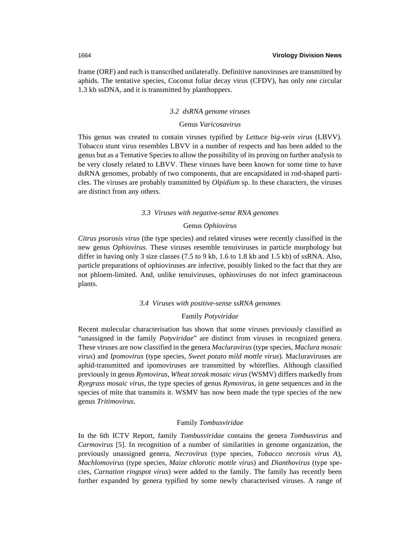frame (ORF) and each is transcribed unilaterally. Definitive nanoviruses are transmitted by aphids. The tentative species, Coconut foliar decay virus (CFDV), has only one circular 1.3 kb ssDNA, and it is transmitted by planthoppers.

#### *3.2 dsRNA genome viruses*

#### Genus *Varicosavirus*

This genus was created to contain viruses typified by *Lettuce big-vein virus* (LBVV). Tobacco stunt virus resembles LBVV in a number of respects and has been added to the genus but as a Tentative Species to allow the possibility of its proving on further analysis to be very closely related to LBVV. These viruses have been known for some time to have dsRNA genomes, probably of two components, that are encapsidated in rod-shaped particles. The viruses are probably transmitted by *Olpidium* sp. In these characters, the viruses are distinct from any others.

## *3.3 Viruses with negative-sense RNA genomes*

#### Genus *Ophiovirus*

*Citrus psorosis virus* (the type species) and related viruses were recently classified in the new genus *Ophiovirus*. These viruses resemble tenuiviruses in particle morphology but differ in having only 3 size classes (7.5 to 9 kb, 1.6 to 1.8 kb and 1.5 kb) of ssRNA. Also, particle preparations of ophioviruses are infective, possibly linked to the fact that they are not phloem-limited. And, unlike tenuiviruses, ophioviruses do not infect graminaceous plants.

## *3.4 Viruses with positive-sense ssRNA genomes*

## Family *Potyviridae*

Recent molecular characterisation has shown that some viruses previously classified as "unassigned in the family *Potyviridae*" are distinct from viruses in recognized genera. These viruses are now classified in the genera *Macluravirus* (type species, *Maclura mosaic virus*) and *Ipomovirus* (type species, *Sweet potato mild mottle virus*). Macluraviruses are aphid-transmitted and ipomoviruses are transmitted by whiteflies. Although classified previously in genus *Rymovirus*, *Wheat streak mosaic virus* (WSMV) differs markedly from *Ryegrass mosaic virus*, the type species of genus *Rymovirus*, in gene sequences and in the species of mite that transmits it. WSMV has now been made the type species of the new genus *Tritimovirus*.

#### Family *Tombusviridae*

In the 6th ICTV Report, family *Tombusviridae* contains the genera *Tombusvirus* and *Carmovirus* [5]. In recognition of a number of similarities in genome organization, the previously unassigned genera, *Necrovirus* (type species, *Tobacco necrosis virus A*), *Machlomovirus* (type species, *Maize chlorotic mottle virus*) and *Dianthovirus* (type species, *Carnation ringspot virus*) were added to the family. The family has recently been further expanded by genera typified by some newly characterised viruses. A range of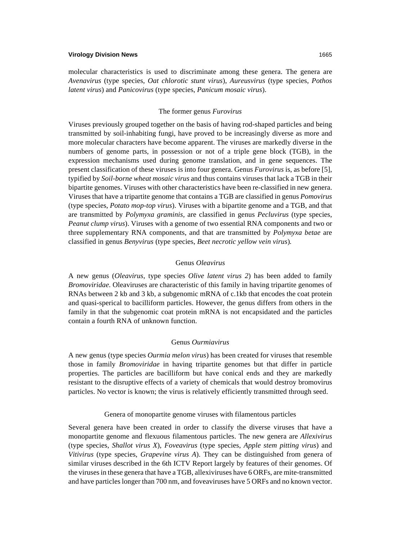molecular characteristics is used to discriminate among these genera. The genera are *Avenavirus* (type species, *Oat chlorotic stunt virus*), *Aureusvirus* (type species, *Pothos latent virus*) and *Panicovirus* (type species, *Panicum mosaic virus*).

#### The former genus *Furovirus*

Viruses previously grouped together on the basis of having rod-shaped particles and being transmitted by soil-inhabiting fungi, have proved to be increasingly diverse as more and more molecular characters have become apparent. The viruses are markedly diverse in the numbers of genome parts, in possession or not of a triple gene block (TGB), in the expression mechanisms used during genome translation, and in gene sequences. The present classification of these viruses is into four genera. Genus *Furovirus* is, as before [5], typified by *Soil-borne wheat mosaic virus* and thus contains viruses that lack a TGB in their bipartite genomes. Viruses with other characteristics have been re-classified in new genera. Viruses that have a tripartite genome that contains a TGB are classified in genus *Pomovirus* (type species, *Potato mop-top virus*). Viruses with a bipartite genome and a TGB, and that are transmitted by *Polymyxa graminis,* are classified in genus *Pecluvirus* (type species, *Peanut clump virus*). Viruses with a genome of two essential RNA components and two or three supplementary RNA components, and that are transmitted by *Polymyxa betae* are classified in genus *Benyvirus* (type species, *Beet necrotic yellow vein virus*)*.*

## Genus *Oleavirus*

A new genus (*Oleavirus*, type species *Olive latent virus 2*) has been added to family *Bromoviridae.* Oleaviruses are characteristic of this family in having tripartite genomes of RNAs between 2 kb and 3 kb, a subgenomic mRNA of c.1kb that encodes the coat protein and quasi-sperical to bacilliform particles. However, the genus differs from others in the family in that the subgenomic coat protein mRNA is not encapsidated and the particles contain a fourth RNA of unknown function.

## Genus *Ourmiavirus*

A new genus (type species *Ourmia melon virus*) has been created for viruses that resemble those in family *Bromoviridae* in having tripartite genomes but that differ in particle properties. The particles are bacilliform but have conical ends and they are markedly resistant to the disruptive effects of a variety of chemicals that would destroy bromovirus particles. No vector is known; the virus is relatively efficiently transmitted through seed.

### Genera of monopartite genome viruses with filamentous particles

Several genera have been created in order to classify the diverse viruses that have a monopartite genome and flexuous filamentous particles. The new genera are *Allexivirus* (type species, *Shallot virus X*), *Foveavirus* (type species, *Apple stem pitting virus*) and *Vitivirus* (type species, *Grapevine virus A*). They can be distinguished from genera of similar viruses described in the 6th ICTV Report largely by features of their genomes. Of the viruses in these genera that have a TGB, allexiviruses have 6 ORFs, are mite-transmitted and have particles longer than 700 nm, and foveaviruses have 5 ORFs and no known vector.